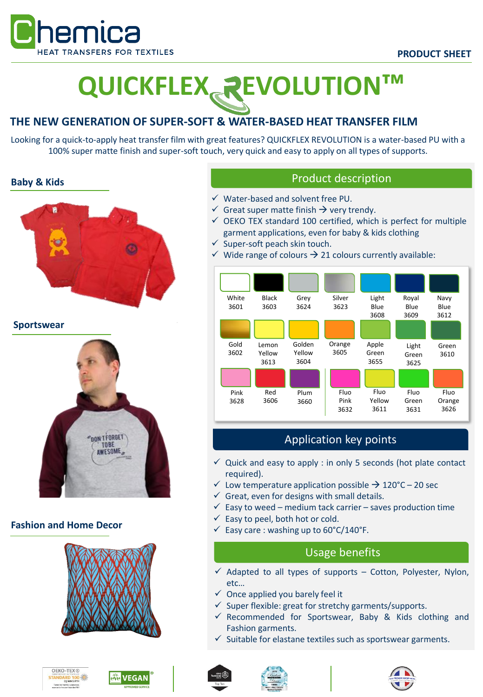

# **QUICKFLEX EVOLUTION™**

# **THE NEW GENERATION OF SUPER-SOFT & WATER-BASED HEAT TRANSFER FILM**

Looking for a quick-to-apply heat transfer film with great features? QUICKFLEX REVOLUTION is a water-based PU with a 100% super matte finish and super-soft touch, very quick and easy to apply on all types of supports.

### **Baby & Kids**



**Sportswear**



## **Fashion and Home Decor**













- ✓ Water-based and solvent free PU.
- $\checkmark$  Great super matte finish  $\hat{\to}$  very trendy.
- $\checkmark$  OEKO TEX standard 100 certified, which is perfect for multiple garment applications, even for baby & kids clothing
- $\checkmark$  Super-soft peach skin touch.
- $\checkmark$  Wide range of colours  $\to$  21 colours currently available:



# Application key points

- $\checkmark$  Quick and easy to apply : in only 5 seconds (hot plate contact required).
- $\checkmark$  Low temperature application possible  $\rightarrow$  120°C 20 sec
- $\checkmark$  Great, even for designs with small details.
- $\checkmark$  Easy to weed medium tack carrier saves production time
- $\checkmark$  Easy to peel, both hot or cold.
- $\checkmark$  Easy care : washing up to 60°C/140°F.

# Usage benefits

- $\checkmark$  Adapted to all types of supports Cotton, Polyester, Nylon, etc…
- $\checkmark$  Once applied you barely feel it
- $\checkmark$  Super flexible: great for stretchy garments/supports.
- ✓ Recommended for Sportswear, Baby & Kids clothing and Fashion garments.
- Suitable for elastane textiles such as sportswear garments.